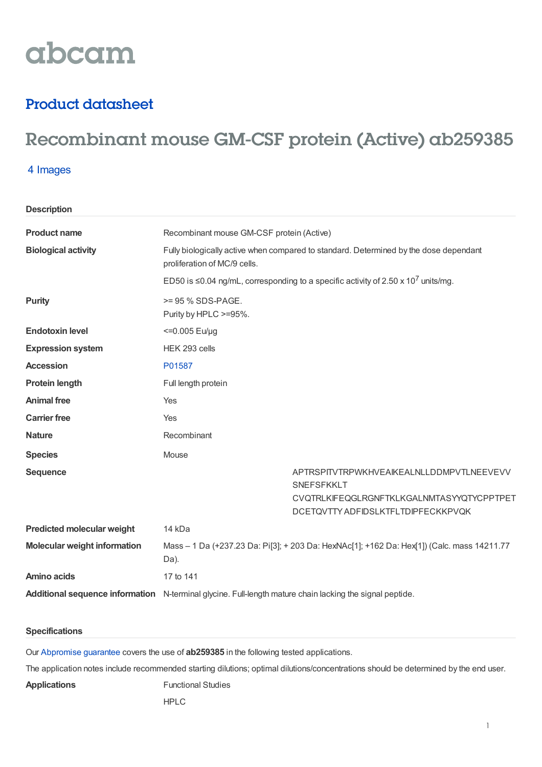# abcam

### Product datasheet

## Recombinant mouse GM-CSF protein (Active) ab259385

#### 4 Images

**Description**

| <b>Product name</b>                 | Recombinant mouse GM-CSF protein (Active)                                                                             |                                                  |  |
|-------------------------------------|-----------------------------------------------------------------------------------------------------------------------|--------------------------------------------------|--|
| <b>Biological activity</b>          | Fully biologically active when compared to standard. Determined by the dose dependant<br>proliferation of MC/9 cells. |                                                  |  |
|                                     | ED50 is $\leq$ 0.04 ng/mL, corresponding to a specific activity of 2.50 x 10 <sup>7</sup> units/mg.                   |                                                  |  |
| <b>Purity</b>                       | >= 95 % SDS-PAGE.<br>Purity by HPLC >=95%.                                                                            |                                                  |  |
| <b>Endotoxin level</b>              | <= 0.005 Eu/µg                                                                                                        |                                                  |  |
| <b>Expression system</b>            | HEK 293 cells                                                                                                         |                                                  |  |
| <b>Accession</b>                    | P01587                                                                                                                |                                                  |  |
| <b>Protein length</b>               | Full length protein                                                                                                   |                                                  |  |
| <b>Animal free</b>                  | Yes                                                                                                                   |                                                  |  |
| <b>Carrier free</b>                 | Yes                                                                                                                   |                                                  |  |
| <b>Nature</b>                       | Recombinant                                                                                                           |                                                  |  |
| <b>Species</b>                      | Mouse                                                                                                                 |                                                  |  |
| <b>Sequence</b>                     | <b>SNEFSFKKLT</b>                                                                                                     | APTRSPITVTRPWKHVEAIKEALNLLDDMPVTLNEEVEVV         |  |
|                                     |                                                                                                                       | <b>CVQTRLKIFEQGLRGNFTKLKGALNMTASYYQTYCPPTPET</b> |  |
|                                     | DCETQVTTY ADFIDSLKTFLTDIPFECKKPVQK                                                                                    |                                                  |  |
| <b>Predicted molecular weight</b>   | 14 kDa                                                                                                                |                                                  |  |
| <b>Molecular weight information</b> | Mass - 1 Da (+237.23 Da: Pi[3]; + 203 Da: HexNAc[1]; +162 Da: Hex[1]) (Calc. mass 14211.77<br>Da).                    |                                                  |  |
| <b>Amino acids</b>                  | 17 to 141                                                                                                             |                                                  |  |
|                                     | Additional sequence information N-terminal glycine. Full-length mature chain lacking the signal peptide.              |                                                  |  |

#### **Specifications**

Our [Abpromise](https://www.abcam.com/abpromise) guarantee covers the use of **ab259385** in the following tested applications.

The application notes include recommended starting dilutions; optimal dilutions/concentrations should be determined by the end user.

**Applications** Functional Studies

HPLC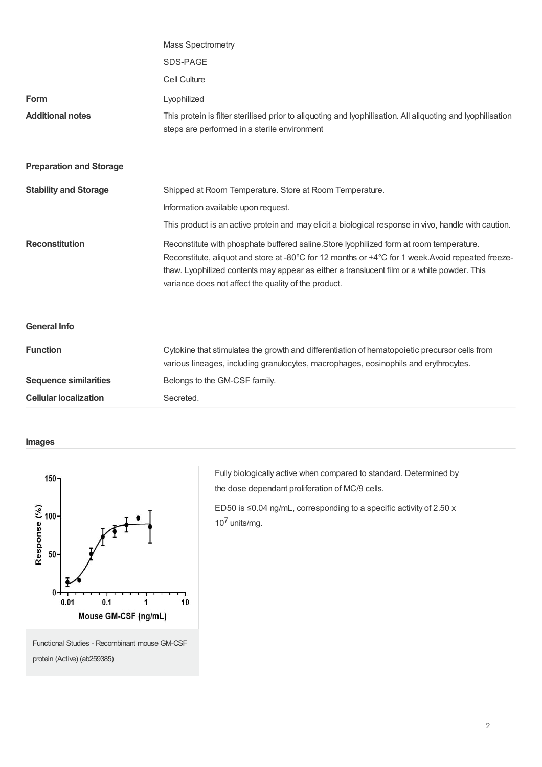| SDS-PAGE<br>Cell Culture<br><b>Form</b><br>Lyophilized<br><b>Additional notes</b><br>This protein is filter sterilised prior to aliquoting and lyophilisation. All aliquoting and lyophilisation<br>steps are performed in a sterile environment<br><b>Preparation and Storage</b><br><b>Stability and Storage</b><br>Shipped at Room Temperature. Store at Room Temperature.<br>Information available upon request.<br>This product is an active protein and may elicit a biological response in vivo, handle with caution.<br><b>Reconstitution</b><br>Reconstitute with phosphate buffered saline. Store lyophilized form at room temperature.<br>Reconstitute, aliquot and store at -80°C for 12 months or +4°C for 1 week.Avoid repeated freeze-<br>thaw. Lyophilized contents may appear as either a translucent film or a white powder. This<br>variance does not affect the quality of the product.<br><b>General Info</b><br><b>Function</b><br>Cytokine that stimulates the growth and differentiation of hematopoietic precursor cells from<br>various lineages, including granulocytes, macrophages, eosinophils and erythrocytes.<br><b>Sequence similarities</b><br>Belongs to the GM-CSF family. |                              | <b>Mass Spectrometry</b> |  |
|-----------------------------------------------------------------------------------------------------------------------------------------------------------------------------------------------------------------------------------------------------------------------------------------------------------------------------------------------------------------------------------------------------------------------------------------------------------------------------------------------------------------------------------------------------------------------------------------------------------------------------------------------------------------------------------------------------------------------------------------------------------------------------------------------------------------------------------------------------------------------------------------------------------------------------------------------------------------------------------------------------------------------------------------------------------------------------------------------------------------------------------------------------------------------------------------------------------------|------------------------------|--------------------------|--|
|                                                                                                                                                                                                                                                                                                                                                                                                                                                                                                                                                                                                                                                                                                                                                                                                                                                                                                                                                                                                                                                                                                                                                                                                                 |                              |                          |  |
|                                                                                                                                                                                                                                                                                                                                                                                                                                                                                                                                                                                                                                                                                                                                                                                                                                                                                                                                                                                                                                                                                                                                                                                                                 |                              |                          |  |
|                                                                                                                                                                                                                                                                                                                                                                                                                                                                                                                                                                                                                                                                                                                                                                                                                                                                                                                                                                                                                                                                                                                                                                                                                 |                              |                          |  |
|                                                                                                                                                                                                                                                                                                                                                                                                                                                                                                                                                                                                                                                                                                                                                                                                                                                                                                                                                                                                                                                                                                                                                                                                                 |                              |                          |  |
|                                                                                                                                                                                                                                                                                                                                                                                                                                                                                                                                                                                                                                                                                                                                                                                                                                                                                                                                                                                                                                                                                                                                                                                                                 |                              |                          |  |
|                                                                                                                                                                                                                                                                                                                                                                                                                                                                                                                                                                                                                                                                                                                                                                                                                                                                                                                                                                                                                                                                                                                                                                                                                 |                              |                          |  |
|                                                                                                                                                                                                                                                                                                                                                                                                                                                                                                                                                                                                                                                                                                                                                                                                                                                                                                                                                                                                                                                                                                                                                                                                                 |                              |                          |  |
|                                                                                                                                                                                                                                                                                                                                                                                                                                                                                                                                                                                                                                                                                                                                                                                                                                                                                                                                                                                                                                                                                                                                                                                                                 |                              |                          |  |
|                                                                                                                                                                                                                                                                                                                                                                                                                                                                                                                                                                                                                                                                                                                                                                                                                                                                                                                                                                                                                                                                                                                                                                                                                 |                              |                          |  |
|                                                                                                                                                                                                                                                                                                                                                                                                                                                                                                                                                                                                                                                                                                                                                                                                                                                                                                                                                                                                                                                                                                                                                                                                                 |                              |                          |  |
|                                                                                                                                                                                                                                                                                                                                                                                                                                                                                                                                                                                                                                                                                                                                                                                                                                                                                                                                                                                                                                                                                                                                                                                                                 |                              |                          |  |
|                                                                                                                                                                                                                                                                                                                                                                                                                                                                                                                                                                                                                                                                                                                                                                                                                                                                                                                                                                                                                                                                                                                                                                                                                 |                              |                          |  |
|                                                                                                                                                                                                                                                                                                                                                                                                                                                                                                                                                                                                                                                                                                                                                                                                                                                                                                                                                                                                                                                                                                                                                                                                                 | <b>Cellular localization</b> | Secreted.                |  |

#### **Images**



protein (Active) (ab259385)

Fully biologically active when compared to standard. Determined by the dose dependant proliferation of MC/9 cells.

ED50 is ≤0.04 ng/mL, corresponding to a specific activity of 2.50 x  $10<sup>7</sup>$  units/mg.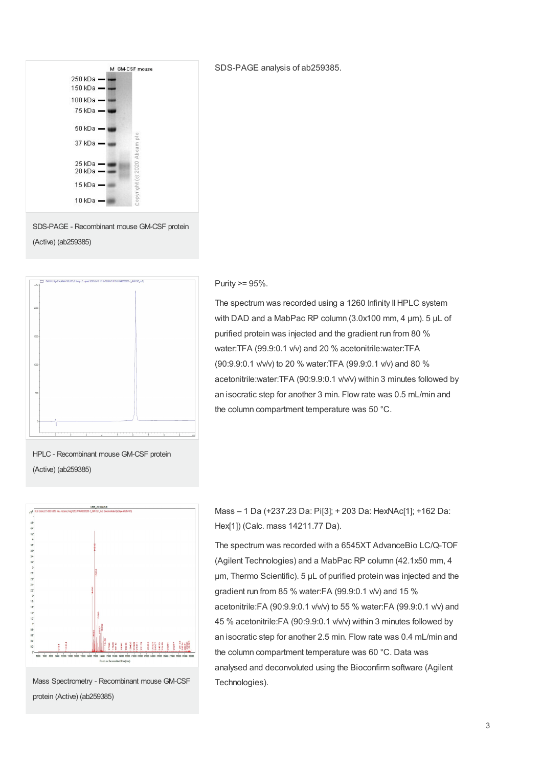

SDS-PAGE analysis of ab259385.

SDS-PAGE - Recombinant mouse GM-CSF protein (Active) (ab259385)



#### Purity >= 95%.

The spectrum was recorded using a 1260 Infinity II HPLC system with DAD and a MabPac RP column (3.0x100 mm, 4 um), 5 uL of purified protein was injected and the gradient run from 80 % water:TFA (99.9:0.1 v/v) and 20 % acetonitrile:water:TFA (90:9.9:0.1 v/v/v) to 20 % water:TFA (99.9:0.1 v/v) and 80 % acetonitrile:water:TFA (90:9.9:0.1 v/v/v) within 3 minutes followed by an isocratic step for another 3 min. Flow rate was 0.5 mL/min and the column compartment temperature was 50 °C.

HPLC - Recombinant mouse GM-CSF protein (Active) (ab259385)



Mass Spectrometry - Recombinant mouse GM-CSF protein (Active) (ab259385)

Mass – 1 Da (+237.23 Da: Pi[3]; + 203 Da: HexNAc[1]; +162 Da: Hex[1]) (Calc. mass 14211.77 Da).

The spectrum was recorded with a 6545XT AdvanceBio LC/Q-TOF (Agilent Technologies) and a MabPac RP column (42.1x50 mm, 4 µm, Thermo Scientific). 5 µL of purified protein was injected and the gradient run from 85 % water:FA (99.9:0.1 v/v) and 15 % acetonitrile:FA (90:9.9:0.1 v/v/v) to 55 % water:FA (99.9:0.1 v/v) and 45 % acetonitrile:FA (90:9.9:0.1 v/v/v) within 3 minutes followed by an isocratic step for another 2.5 min. Flow rate was 0.4 mL/min and the column compartment temperature was 60 °C. Data was analysed and deconvoluted using the Bioconfirm software (Agilent Technologies).